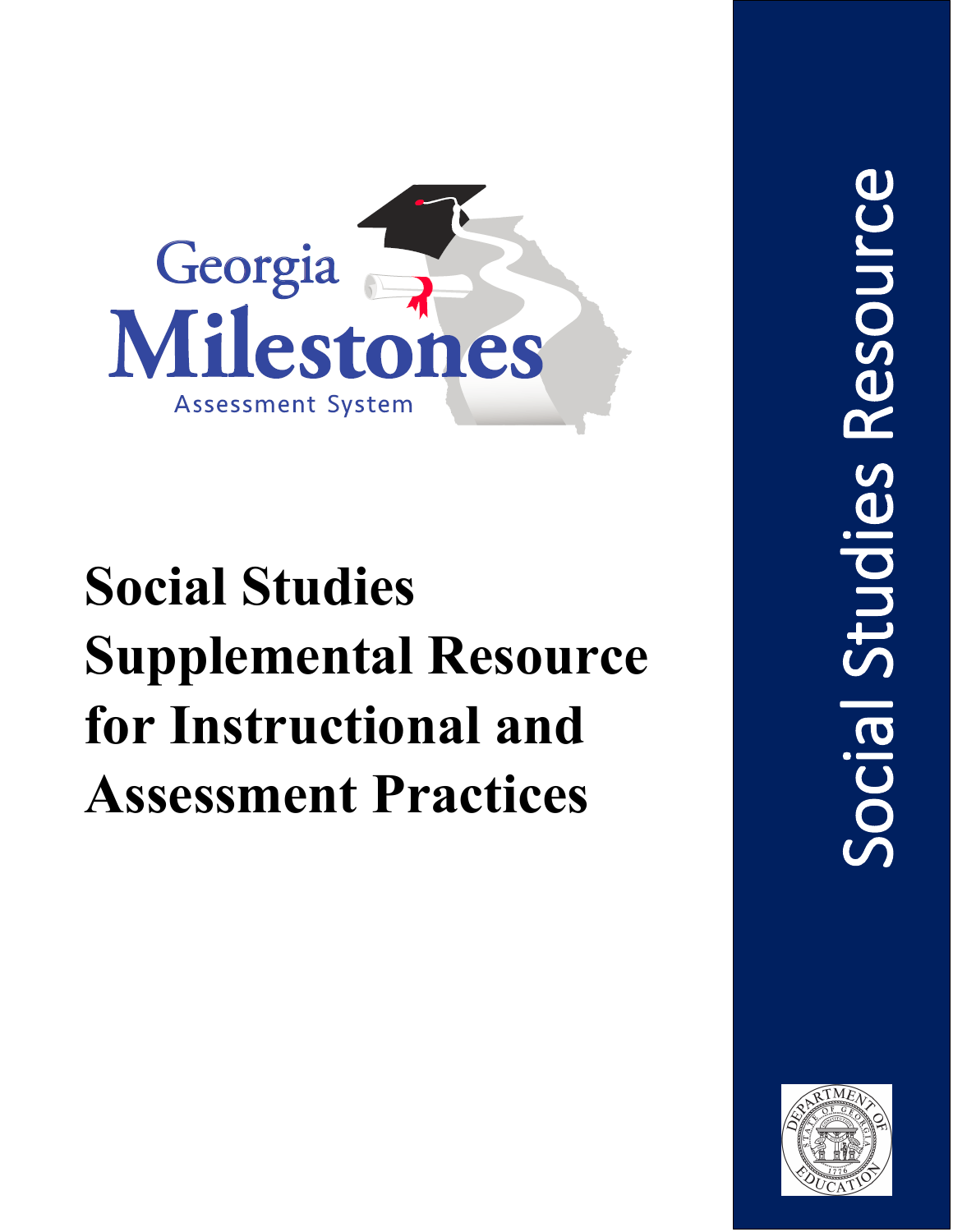

# **Social Studies Supplemental Resource for Instructional and Assessment Practices**

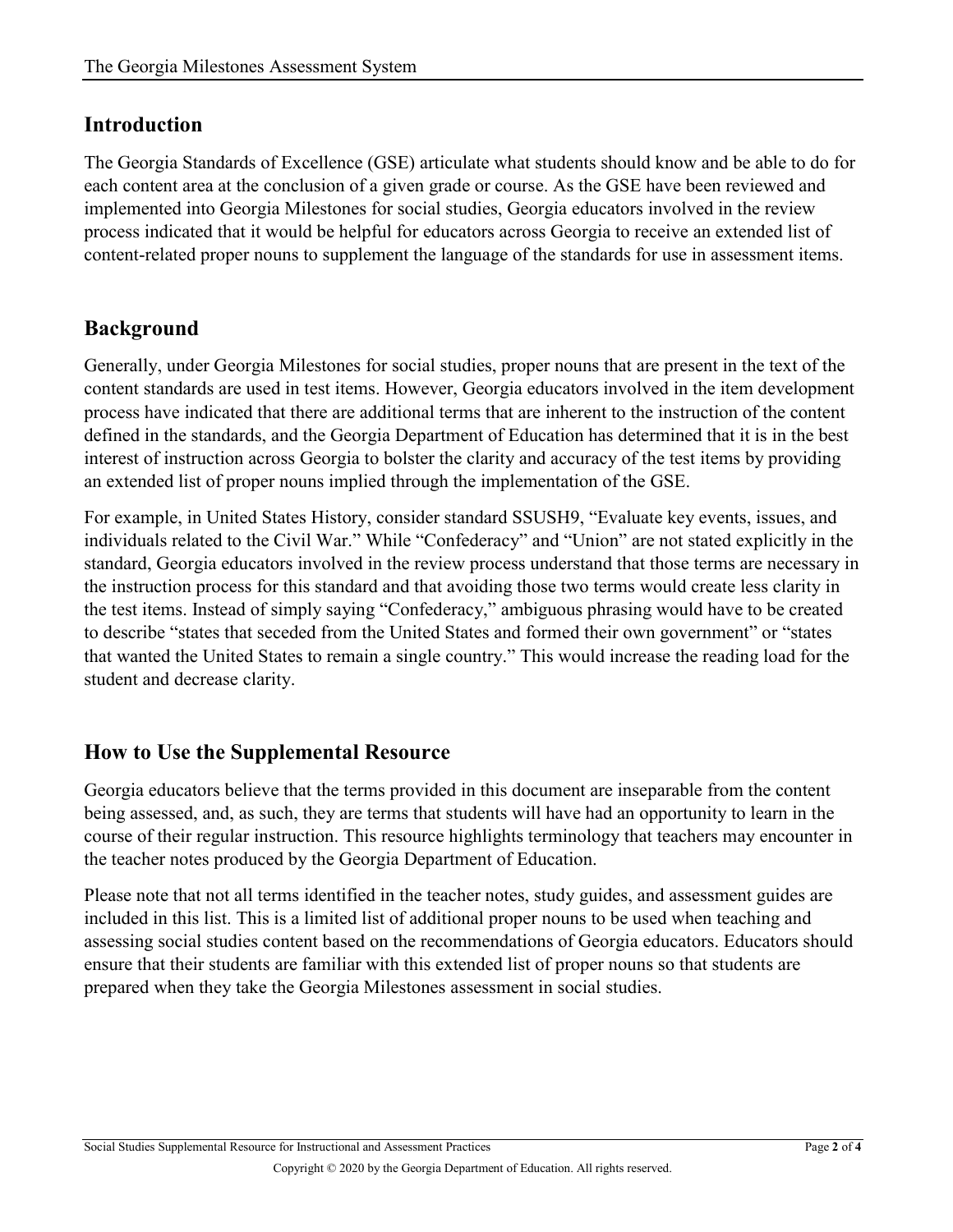#### **Introduction**

The Georgia Standards of Excellence (GSE) articulate what students should know and be able to do for each content area at the conclusion of a given grade or course. As the GSE have been reviewed and implemented into Georgia Milestones for social studies, Georgia educators involved in the review process indicated that it would be helpful for educators across Georgia to receive an extended list of content-related proper nouns to supplement the language of the standards for use in assessment items.

### **Background**

Generally, under Georgia Milestones for social studies, proper nouns that are present in the text of the content standards are used in test items. However, Georgia educators involved in the item development process have indicated that there are additional terms that are inherent to the instruction of the content defined in the standards, and the Georgia Department of Education has determined that it is in the best interest of instruction across Georgia to bolster the clarity and accuracy of the test items by providing an extended list of proper nouns implied through the implementation of the GSE.

For example, in United States History, consider standard SSUSH9, "Evaluate key events, issues, and individuals related to the Civil War." While "Confederacy" and "Union" are not stated explicitly in the standard, Georgia educators involved in the review process understand that those terms are necessary in the instruction process for this standard and that avoiding those two terms would create less clarity in the test items. Instead of simply saying "Confederacy," ambiguous phrasing would have to be created to describe "states that seceded from the United States and formed their own government" or "states that wanted the United States to remain a single country." This would increase the reading load for the student and decrease clarity.

#### **How to Use the Supplemental Resource**

Georgia educators believe that the terms provided in this document are inseparable from the content being assessed, and, as such, they are terms that students will have had an opportunity to learn in the course of their regular instruction. This resource highlights terminology that teachers may encounter in the teacher notes produced by the Georgia Department of Education.

Please note that not all terms identified in the teacher notes, study guides, and assessment guides are included in this list. This is a limited list of additional proper nouns to be used when teaching and assessing social studies content based on the recommendations of Georgia educators. Educators should ensure that their students are familiar with this extended list of proper nouns so that students are prepared when they take the Georgia Milestones assessment in social studies.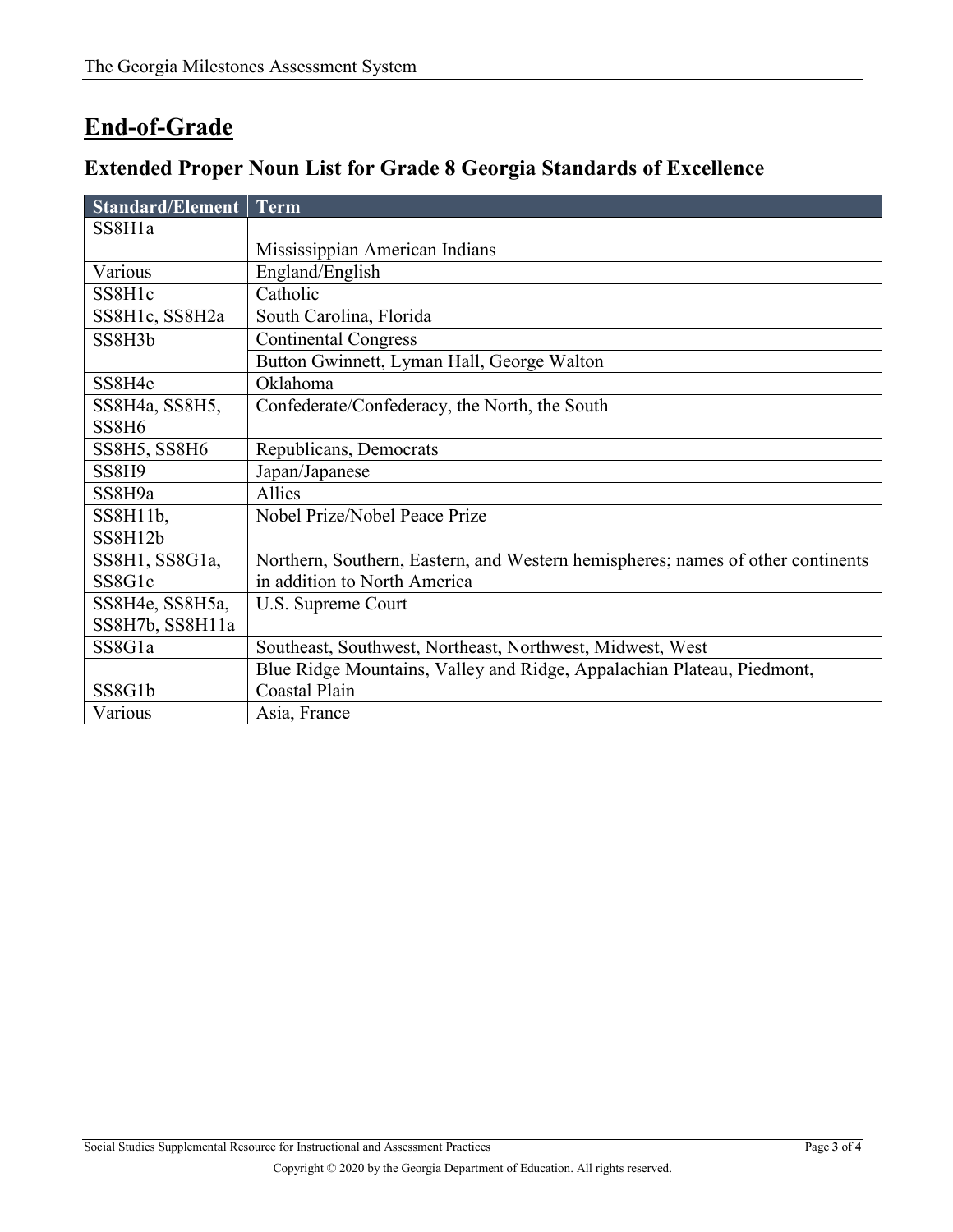## **End-of-Grade**

## **Extended Proper Noun List for Grade 8 Georgia Standards of Excellence**

| Standard/Element               | Term                                                                            |
|--------------------------------|---------------------------------------------------------------------------------|
| SS8H1a                         |                                                                                 |
|                                | Mississippian American Indians                                                  |
| Various                        | England/English                                                                 |
| SS8H1c                         | Catholic                                                                        |
| SS8H1c, SS8H2a                 | South Carolina, Florida                                                         |
| SS8H3b                         | <b>Continental Congress</b>                                                     |
|                                | Button Gwinnett, Lyman Hall, George Walton                                      |
| SS8H4e                         | Oklahoma                                                                        |
| SS8H4a, SS8H5,                 | Confederate/Confederacy, the North, the South                                   |
| SS <sub>8</sub> H <sub>6</sub> |                                                                                 |
| <b>SS8H5, SS8H6</b>            | Republicans, Democrats                                                          |
| SS <sub>8</sub> H <sub>9</sub> | Japan/Japanese                                                                  |
| SS8H9a                         | <b>Allies</b>                                                                   |
| $SS8H11b$ ,                    | Nobel Prize/Nobel Peace Prize                                                   |
| SS8H12b                        |                                                                                 |
| SS8H1, SS8G1a,                 | Northern, Southern, Eastern, and Western hemispheres; names of other continents |
| SS8G1c                         | in addition to North America                                                    |
| SS8H4e, SS8H5a,                | U.S. Supreme Court                                                              |
| SS8H7b, SS8H11a                |                                                                                 |
| SS8G1a                         | Southeast, Southwest, Northeast, Northwest, Midwest, West                       |
|                                | Blue Ridge Mountains, Valley and Ridge, Appalachian Plateau, Piedmont,          |
| SS8G1b                         | <b>Coastal Plain</b>                                                            |
| Various                        | Asia, France                                                                    |